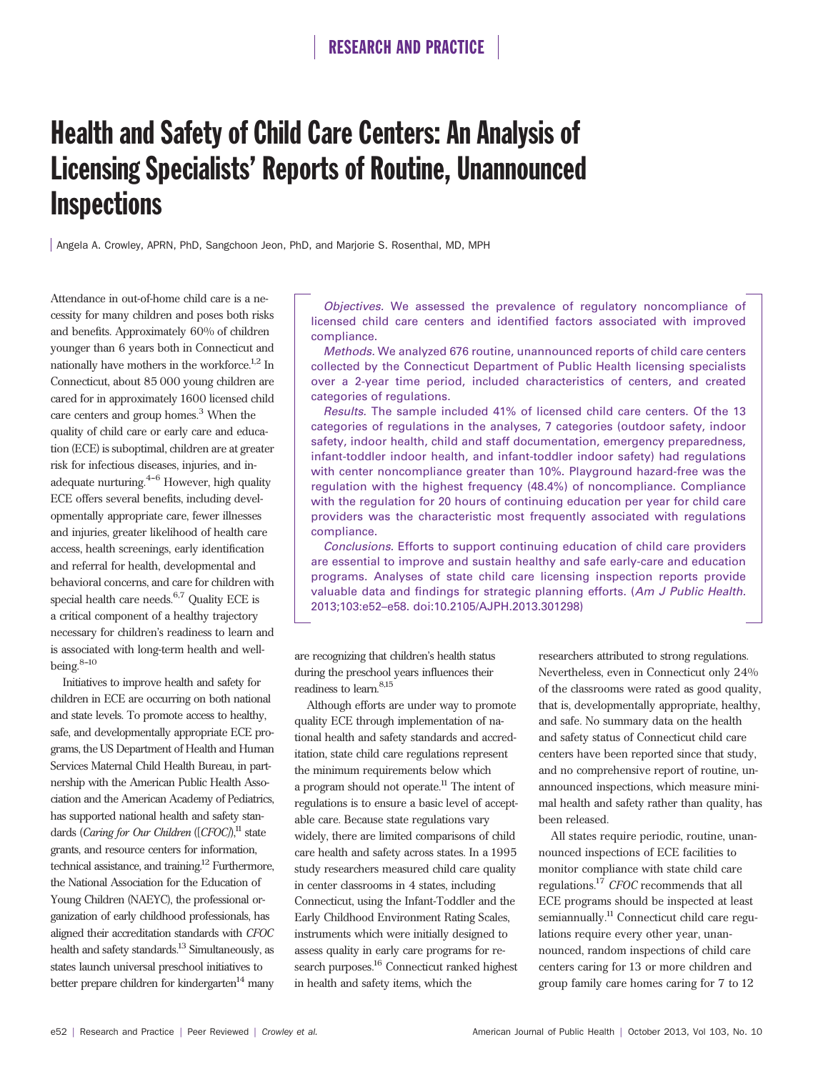# Health and Safety of Child Care Centers: An Analysis of Licensing Specialists' Reports of Routine, Unannounced **Inspections**

Angela A. Crowley, APRN, PhD, Sangchoon Jeon, PhD, and Marjorie S. Rosenthal, MD, MPH

Attendance in out-of-home child care is a necessity for many children and poses both risks and benefits. Approximately 60% of children younger than 6 years both in Connecticut and nationally have mothers in the workforce.<sup>1,2</sup> In Connecticut, about 85 000 young children are cared for in approximately 1600 licensed child care centers and group homes.<sup>3</sup> When the quality of child care or early care and education (ECE) is suboptimal, children are at greater risk for infectious diseases, injuries, and inadequate nurturing. $4-6$  However, high quality ECE offers several benefits, including developmentally appropriate care, fewer illnesses and injuries, greater likelihood of health care access, health screenings, early identification and referral for health, developmental and behavioral concerns, and care for children with special health care needs. $6,7$  Quality ECE is a critical component of a healthy trajectory necessary for children's readiness to learn and is associated with long-term health and wellbeing.  $^{8\hbox{--}10}$ 

Initiatives to improve health and safety for children in ECE are occurring on both national and state levels. To promote access to healthy, safe, and developmentally appropriate ECE programs, the US Department of Health and Human Services Maternal Child Health Bureau, in partnership with the American Public Health Association and the American Academy of Pediatrics, has supported national health and safety standards (*Caring for Our Children* ([*CFOC*),<sup>11</sup> state grants, and resource centers for information, technical assistance, and training.<sup>12</sup> Furthermore, the National Association for the Education of Young Children (NAEYC), the professional organization of early childhood professionals, has aligned their accreditation standards with *CFOC* health and safety standards.<sup>13</sup> Simultaneously, as states launch universal preschool initiatives to better prepare children for kindergarten $14$  many

Objectives. We assessed the prevalence of regulatory noncompliance of licensed child care centers and identified factors associated with improved compliance.

Methods. We analyzed 676 routine, unannounced reports of child care centers collected by the Connecticut Department of Public Health licensing specialists over a 2-year time period, included characteristics of centers, and created categories of regulations.

Results. The sample included 41% of licensed child care centers. Of the 13 categories of regulations in the analyses, 7 categories (outdoor safety, indoor safety, indoor health, child and staff documentation, emergency preparedness, infant-toddler indoor health, and infant-toddler indoor safety) had regulations with center noncompliance greater than 10%. Playground hazard-free was the regulation with the highest frequency (48.4%) of noncompliance. Compliance with the regulation for 20 hours of continuing education per year for child care providers was the characteristic most frequently associated with regulations compliance.

Conclusions. Efforts to support continuing education of child care providers are essential to improve and sustain healthy and safe early-care and education programs. Analyses of state child care licensing inspection reports provide valuable data and findings for strategic planning efforts. (Am J Public Health. 2013;103:e52–e58. doi:10.2105/AJPH.2013.301298)

are recognizing that children's health status during the preschool years influences their readiness to learn.  $\sp{8,15}$ 

Although efforts are under way to promote quality ECE through implementation of national health and safety standards and accreditation, state child care regulations represent the minimum requirements below which a program should not operate.<sup>11</sup> The intent of regulations is to ensure a basic level of acceptable care. Because state regulations vary widely, there are limited comparisons of child care health and safety across states. In a 1995 study researchers measured child care quality in center classrooms in 4 states, including Connecticut, using the Infant-Toddler and the Early Childhood Environment Rating Scales, instruments which were initially designed to assess quality in early care programs for research purposes.<sup>16</sup> Connecticut ranked highest in health and safety items, which the

researchers attributed to strong regulations. Nevertheless, even in Connecticut only 24% of the classrooms were rated as good quality, that is, developmentally appropriate, healthy, and safe. No summary data on the health and safety status of Connecticut child care centers have been reported since that study, and no comprehensive report of routine, unannounced inspections, which measure minimal health and safety rather than quality, has been released.

All states require periodic, routine, unannounced inspections of ECE facilities to monitor compliance with state child care regulations.<sup>17</sup> *CFOC* recommends that all ECE programs should be inspected at least semiannually.<sup>11</sup> Connecticut child care regulations require every other year, unannounced, random inspections of child care centers caring for 13 or more children and group family care homes caring for 7 to 12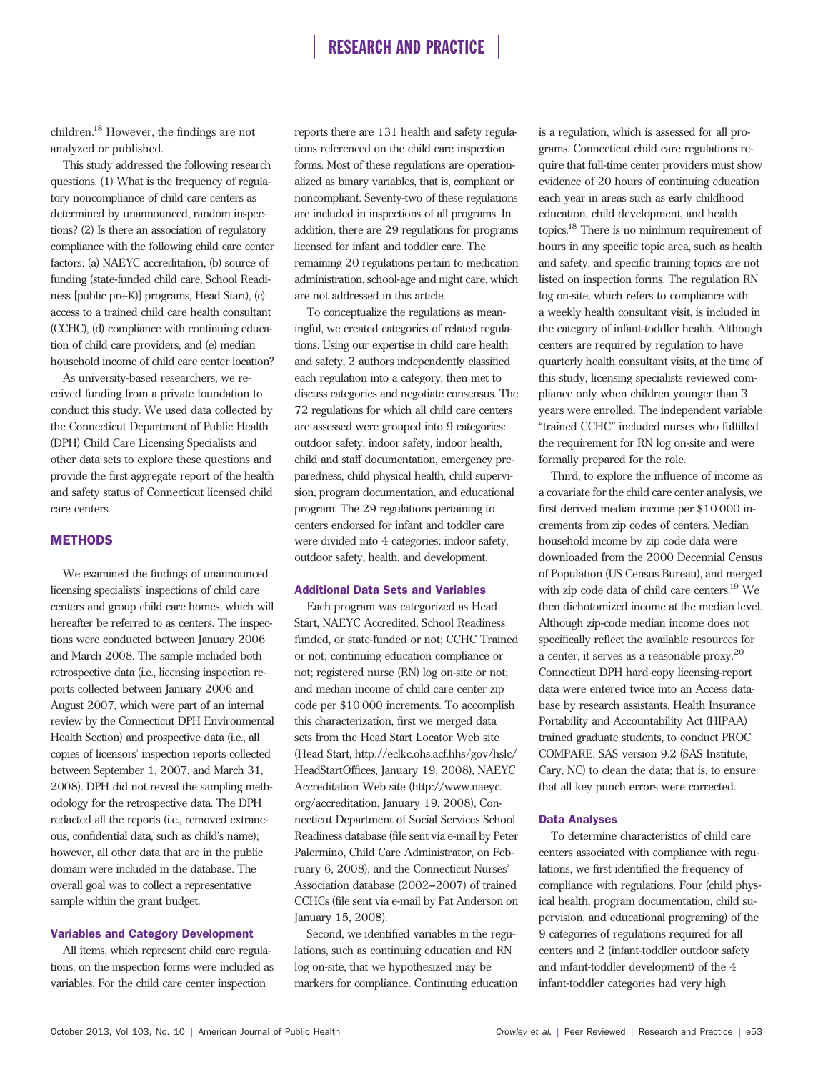children.<sup>18</sup> However, the findings are not analyzed or published.

This study addressed the following research questions. (1) What is the frequency of regulatory noncompliance of child care centers as determined by unannounced, random inspections? (2) Is there an association of regulatory compliance with the following child care center factors: (a) NAEYC accreditation, (b) source of funding (state-funded child care, School Readiness [public pre-K)] programs, Head Start), (c) access to a trained child care health consultant (CCHC), (d) compliance with continuing education of child care providers, and (e) median household income of child care center location?

As university-based researchers, we received funding from a private foundation to conduct this study. We used data collected by the Connecticut Department of Public Health (DPH) Child Care Licensing Specialists and other data sets to explore these questions and provide the first aggregate report of the health and safety status of Connecticut licensed child care centers.

### **METHODS**

We examined the findings of unannounced licensing specialists' inspections of child care centers and group child care homes, which will hereafter be referred to as centers. The inspections were conducted between January 2006 and March 2008. The sample included both retrospective data (i.e., licensing inspection reports collected between January 2006 and August 2007, which were part of an internal review by the Connecticut DPH Environmental Health Section) and prospective data (i.e., all copies of licensors' inspection reports collected between September 1, 2007, and March 31, 2008). DPH did not reveal the sampling methodology for the retrospective data. The DPH redacted all the reports (i.e., removed extraneous, confidential data, such as child's name); however, all other data that are in the public domain were included in the database. The overall goal was to collect a representative sample within the grant budget.

#### Variables and Category Development

All items, which represent child care regulations, on the inspection forms were included as variables. For the child care center inspection

reports there are 131 health and safety regulations referenced on the child care inspection forms. Most of these regulations are operationalized as binary variables, that is, compliant or noncompliant. Seventy-two of these regulations are included in inspections of all programs. In addition, there are 29 regulations for programs licensed for infant and toddler care. The remaining 20 regulations pertain to medication administration, school-age and night care, which are not addressed in this article.

To conceptualize the regulations as meaningful, we created categories of related regulations. Using our expertise in child care health and safety, 2 authors independently classified each regulation into a category, then met to discuss categories and negotiate consensus. The 72 regulations for which all child care centers are assessed were grouped into 9 categories: outdoor safety, indoor safety, indoor health, child and staff documentation, emergency preparedness, child physical health, child supervision, program documentation, and educational program. The 29 regulations pertaining to centers endorsed for infant and toddler care were divided into 4 categories: indoor safety, outdoor safety, health, and development.

### Additional Data Sets and Variables

Each program was categorized as Head Start, NAEYC Accredited, School Readiness funded, or state-funded or not; CCHC Trained or not; continuing education compliance or not; registered nurse (RN) log on-site or not; and median income of child care center zip code per \$10 000 increments. To accomplish this characterization, first we merged data sets from the Head Start Locator Web site (Head Start, http://eclkc.ohs.acf.hhs/gov/hslc/ HeadStartOffices, January 19, 2008), NAEYC Accreditation Web site (http://www.naeyc. org/accreditation, January 19, 2008), Connecticut Department of Social Services School Readiness database (file sent via e-mail by Peter Palermino, Child Care Administrator, on February 6, 2008), and the Connecticut Nurses' Association database (2002--2007) of trained CCHCs (file sent via e-mail by Pat Anderson on January 15, 2008).

Second, we identified variables in the regulations, such as continuing education and RN log on-site, that we hypothesized may be markers for compliance. Continuing education is a regulation, which is assessed for all programs. Connecticut child care regulations require that full-time center providers must show evidence of 20 hours of continuing education each year in areas such as early childhood education, child development, and health topics.<sup>18</sup> There is no minimum requirement of hours in any specific topic area, such as health and safety, and specific training topics are not listed on inspection forms. The regulation RN log on-site, which refers to compliance with a weekly health consultant visit, is included in the category of infant-toddler health. Although centers are required by regulation to have quarterly health consultant visits, at the time of this study, licensing specialists reviewed compliance only when children younger than 3 years were enrolled. The independent variable "trained CCHC" included nurses who fulfilled the requirement for RN log on-site and were formally prepared for the role.

Third, to explore the influence of income as a covariate for the child care center analysis, we first derived median income per \$10 000 increments from zip codes of centers. Median household income by zip code data were downloaded from the 2000 Decennial Census of Population (US Census Bureau), and merged with zip code data of child care centers.<sup>19</sup> We then dichotomized income at the median level. Although zip-code median income does not specifically reflect the available resources for a center, it serves as a reasonable proxy.<sup>20</sup> Connecticut DPH hard-copy licensing-report data were entered twice into an Access database by research assistants, Health Insurance Portability and Accountability Act (HIPAA) trained graduate students, to conduct PROC COMPARE, SAS version 9.2 (SAS Institute, Cary, NC) to clean the data; that is, to ensure that all key punch errors were corrected.

### Data Analyses

To determine characteristics of child care centers associated with compliance with regulations, we first identified the frequency of compliance with regulations. Four (child physical health, program documentation, child supervision, and educational programing) of the 9 categories of regulations required for all centers and 2 (infant-toddler outdoor safety and infant-toddler development) of the 4 infant-toddler categories had very high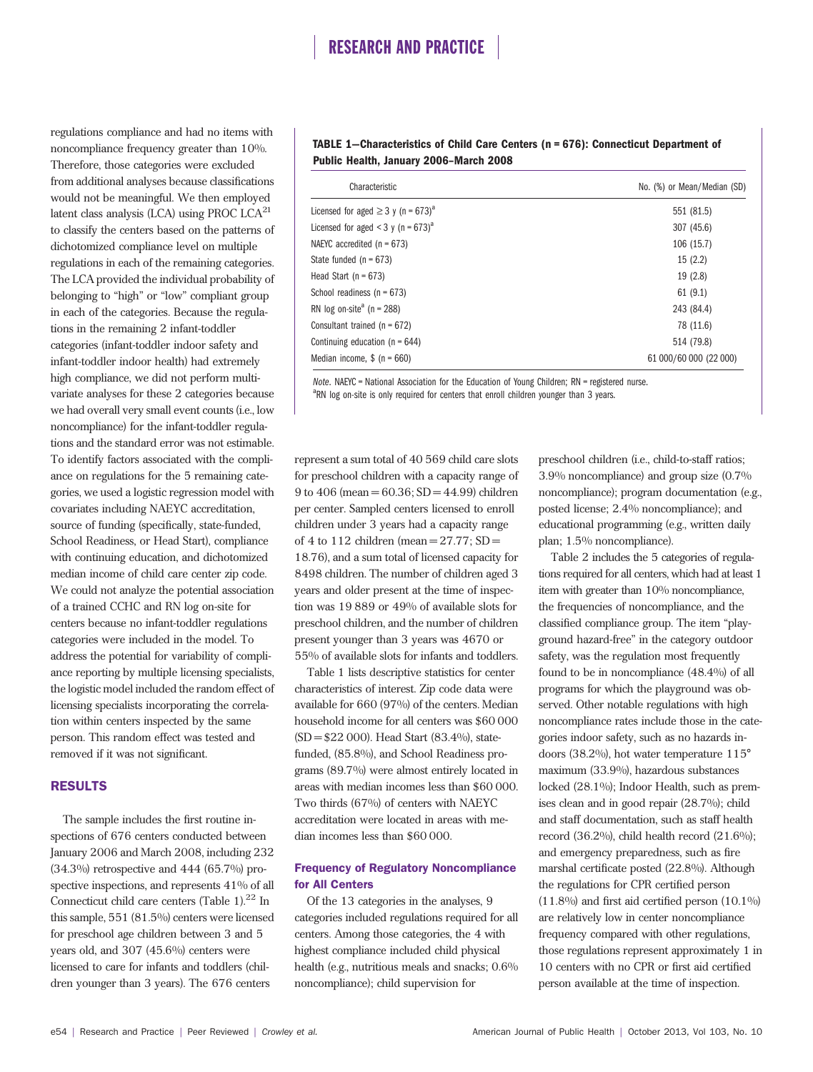regulations compliance and had no items with noncompliance frequency greater than 10%. Therefore, those categories were excluded from additional analyses because classifications would not be meaningful. We then employed latent class analysis (LCA) using PROC LCA $^{21}$ to classify the centers based on the patterns of dichotomized compliance level on multiple regulations in each of the remaining categories. The LCA provided the individual probability of belonging to "high" or "low" compliant group in each of the categories. Because the regulations in the remaining 2 infant-toddler categories (infant-toddler indoor safety and infant-toddler indoor health) had extremely high compliance, we did not perform multivariate analyses for these 2 categories because we had overall very small event counts (i.e., low noncompliance) for the infant-toddler regulations and the standard error was not estimable. To identify factors associated with the compliance on regulations for the 5 remaining categories, we used a logistic regression model with covariates including NAEYC accreditation, source of funding (specifically, state-funded, School Readiness, or Head Start), compliance with continuing education, and dichotomized median income of child care center zip code. We could not analyze the potential association of a trained CCHC and RN log on-site for centers because no infant-toddler regulations categories were included in the model. To address the potential for variability of compliance reporting by multiple licensing specialists, the logistic model included the random effect of licensing specialists incorporating the correlation within centers inspected by the same person. This random effect was tested and removed if it was not significant.

### RESULTS

The sample includes the first routine inspections of 676 centers conducted between January 2006 and March 2008, including 232 (34.3%) retrospective and 444 (65.7%) prospective inspections, and represents 41% of all Connecticut child care centers (Table 1). $^{22}$  In this sample, 551 (81.5%) centers were licensed for preschool age children between 3 and 5 years old, and 307 (45.6%) centers were licensed to care for infants and toddlers (children younger than 3 years). The 676 centers

### TABLE 1—Characteristics of Child Care Centers (n = 676): Connecticut Department of Public Health, January 2006–March 2008

| Characteristic                                      | No. (%) or Mean/Median (SD) |
|-----------------------------------------------------|-----------------------------|
| Licensed for aged $\geq$ 3 y (n = 673) <sup>a</sup> | 551 (81.5)                  |
| Licensed for aged < 3 y (n = $673$ ) <sup>a</sup>   | 307 (45.6)                  |
| NAEYC accredited $(n = 673)$                        | 106(15.7)                   |
| State funded $(n = 673)$                            | 15(2.2)                     |
| Head Start ( $n = 673$ )                            | 19(2.8)                     |
| School readiness ( $n = 673$ )                      | 61(9.1)                     |
| RN log on-site <sup>a</sup> (n = 288)               | 243 (84.4)                  |
| Consultant trained ( $n = 672$ )                    | 78 (11.6)                   |
| Continuing education ( $n = 644$ )                  | 514 (79.8)                  |
| Median income, $$ (n = 660)$                        | 61 000/60 000 (22 000)      |

Note. NAEYC = National Association for the Education of Young Children; RN = registered nurse. <sup>a</sup>RN log on-site is only required for centers that enroll children younger than 3 years.

represent a sum total of 40 569 child care slots for preschool children with a capacity range of 9 to 406 (mean =  $60.36$ ; SD =  $44.99$ ) children per center. Sampled centers licensed to enroll children under 3 years had a capacity range of 4 to 112 children (mean  $= 27.77$ ; SD $=$ 18.76), and a sum total of licensed capacity for 8498 children. The number of children aged 3 years and older present at the time of inspection was 19 889 or 49% of available slots for preschool children, and the number of children present younger than 3 years was 4670 or 55% of available slots for infants and toddlers.

Table 1 lists descriptive statistics for center characteristics of interest. Zip code data were available for 660 (97%) of the centers. Median household income for all centers was \$60 000 (SD = \$22 000). Head Start (83.4%), statefunded, (85.8%), and School Readiness programs (89.7%) were almost entirely located in areas with median incomes less than \$60 000. Two thirds (67%) of centers with NAEYC accreditation were located in areas with median incomes less than \$60 000.

### Frequency of Regulatory Noncompliance for All Centers

Of the 13 categories in the analyses, 9 categories included regulations required for all centers. Among those categories, the 4 with highest compliance included child physical health (e.g., nutritious meals and snacks; 0.6% noncompliance); child supervision for

preschool children (i.e., child-to-staff ratios; 3.9% noncompliance) and group size (0.7% noncompliance); program documentation (e.g., posted license; 2.4% noncompliance); and educational programming (e.g., written daily plan; 1.5% noncompliance).

Table 2 includes the 5 categories of regulations required for all centers, which had at least 1 item with greater than 10% noncompliance, the frequencies of noncompliance, and the classified compliance group. The item "playground hazard-free" in the category outdoor safety, was the regulation most frequently found to be in noncompliance (48.4%) of all programs for which the playground was observed. Other notable regulations with high noncompliance rates include those in the categories indoor safety, such as no hazards indoors (38.2%), hot water temperature 115° maximum (33.9%), hazardous substances locked (28.1%); Indoor Health, such as premises clean and in good repair (28.7%); child and staff documentation, such as staff health record  $(36.2\%)$ , child health record  $(21.6\%)$ ; and emergency preparedness, such as fire marshal certificate posted (22.8%). Although the regulations for CPR certified person  $(11.8\%)$  and first aid certified person  $(10.1\%)$ are relatively low in center noncompliance frequency compared with other regulations, those regulations represent approximately 1 in 10 centers with no CPR or first aid certified person available at the time of inspection.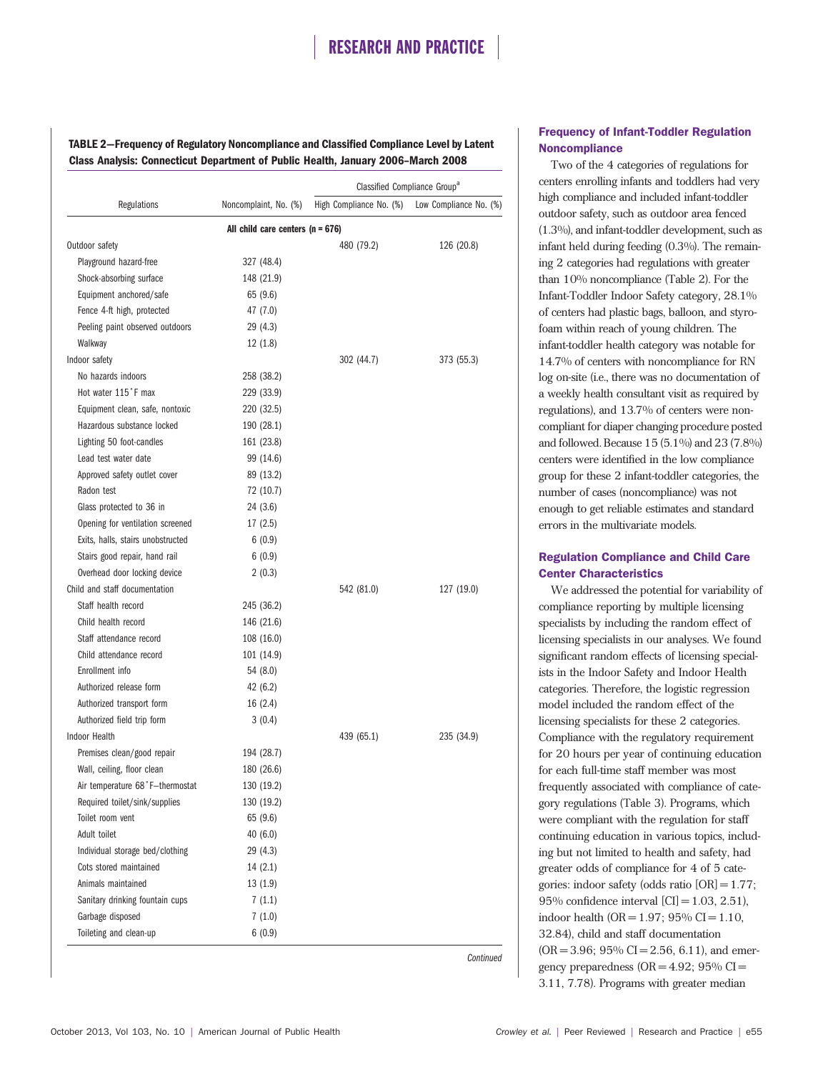TABLE 2—Frequency of Regulatory Noncompliance and Classified Compliance Level by Latent Class Analysis: Connecticut Department of Public Health, January 2006–March 2008

|                                    |                       | Classified Compliance Group <sup>a</sup> |                        |  |
|------------------------------------|-----------------------|------------------------------------------|------------------------|--|
| Regulations                        | Noncomplaint, No. (%) | High Compliance No. (%)                  | Low Compliance No. (%) |  |
| All child care centers $(n = 676)$ |                       |                                          |                        |  |
| Outdoor safety                     |                       | 480 (79.2)                               | 126 (20.8)             |  |
| Playground hazard-free             | 327 (48.4)            |                                          |                        |  |
| Shock-absorbing surface            | 148 (21.9)            |                                          |                        |  |
| Equipment anchored/safe            | 65 (9.6)              |                                          |                        |  |
| Fence 4-ft high, protected         | 47 (7.0)              |                                          |                        |  |
| Peeling paint observed outdoors    | 29 (4.3)              |                                          |                        |  |
| Walkway                            | 12(1.8)               |                                          |                        |  |
| Indoor safety                      |                       | 302 (44.7)                               | 373 (55.3)             |  |
| No hazards indoors                 | 258 (38.2)            |                                          |                        |  |
| Hot water 115°F max                | 229 (33.9)            |                                          |                        |  |
| Equipment clean, safe, nontoxic    | 220 (32.5)            |                                          |                        |  |
| Hazardous substance locked         | 190 (28.1)            |                                          |                        |  |
| Lighting 50 foot-candles           | 161 (23.8)            |                                          |                        |  |
| Lead test water date               | 99 (14.6)             |                                          |                        |  |
| Approved safety outlet cover       | 89 (13.2)             |                                          |                        |  |
| Radon test                         | 72 (10.7)             |                                          |                        |  |
| Glass protected to 36 in           | 24 (3.6)              |                                          |                        |  |
| Opening for ventilation screened   | 17(2.5)               |                                          |                        |  |
| Exits, halls, stairs unobstructed  | 6(0.9)                |                                          |                        |  |
| Stairs good repair, hand rail      | 6(0.9)                |                                          |                        |  |
| Overhead door locking device       | 2(0.3)                |                                          |                        |  |
| Child and staff documentation      |                       | 542 (81.0)                               | 127 (19.0)             |  |
| Staff health record                | 245 (36.2)            |                                          |                        |  |
| Child health record                | 146 (21.6)            |                                          |                        |  |
| Staff attendance record            | 108 (16.0)            |                                          |                        |  |
| Child attendance record            | 101 (14.9)            |                                          |                        |  |
| Enrollment info                    | 54 (8.0)              |                                          |                        |  |
| Authorized release form            | 42 (6.2)              |                                          |                        |  |
| Authorized transport form          | 16 (2.4)              |                                          |                        |  |
| Authorized field trip form         | 3(0.4)                |                                          |                        |  |
| Indoor Health                      |                       | 439 (65.1)                               | 235 (34.9)             |  |
| Premises clean/good repair         | 194 (28.7)            |                                          |                        |  |
| Wall, ceiling, floor clean         | 180 (26.6)            |                                          |                        |  |
| Air temperature 68°F-thermostat    | 130 (19.2)            |                                          |                        |  |
| Required toilet/sink/supplies      | 130 (19.2)            |                                          |                        |  |
| Toilet room vent                   | 65 (9.6)              |                                          |                        |  |
| Adult toilet                       | 40 (6.0)              |                                          |                        |  |
| Individual storage bed/clothing    | 29 (4.3)              |                                          |                        |  |
| Cots stored maintained             | 14(2.1)               |                                          |                        |  |
| Animals maintained                 | 13(1.9)               |                                          |                        |  |
| Sanitary drinking fountain cups    | 7(1.1)                |                                          |                        |  |
| Garbage disposed                   | 7(1.0)                |                                          |                        |  |
| Toileting and clean-up             | 6(0.9)                |                                          |                        |  |

Frequency of Infant-Toddler Regulation **Noncompliance** 

Two of the 4 categories of regulations for centers enrolling infants and toddlers had very high compliance and included infant-toddler outdoor safety, such as outdoor area fenced (1.3%), and infant-toddler development, such as infant held during feeding (0.3%). The remaining 2 categories had regulations with greater than 10% noncompliance (Table 2). For the Infant-Toddler Indoor Safety category, 28.1% of centers had plastic bags, balloon, and styrofoam within reach of young children. The infant-toddler health category was notable for 14.7% of centers with noncompliance for RN log on-site (i.e., there was no documentation of a weekly health consultant visit as required by regulations), and 13.7% of centers were noncompliant for diaper changing procedure posted and followed. Because 15 (5.1%) and 23 (7.8%) centers were identified in the low compliance group for these 2 infant-toddler categories, the number of cases (noncompliance) was not enough to get reliable estimates and standard errors in the multivariate models.

## Regulation Compliance and Child Care Center Characteristics

We addressed the potential for variability of compliance reporting by multiple licensing specialists by including the random effect of licensing specialists in our analyses. We found significant random effects of licensing specialists in the Indoor Safety and Indoor Health categories. Therefore, the logistic regression model included the random effect of the licensing specialists for these 2 categories. Compliance with the regulatory requirement for 20 hours per year of continuing education for each full-time staff member was most frequently associated with compliance of category regulations (Table 3). Programs, which were compliant with the regulation for staff continuing education in various topics, including but not limited to health and safety, had greater odds of compliance for 4 of 5 categories: indoor safety (odds ratio [OR] = 1.77; 95% confidence interval  $[CI] = 1.03, 2.51$ , indoor health (OR =  $1.97$ ;  $95\%$  CI =  $1.10$ , 32.84), child and staff documentation  $(OR = 3.96; 95\% CI = 2.56, 6.11)$ , and emergency preparedness  $(OR = 4.92; 95\% CI =$ 3.11, 7.78). Programs with greater median

Continued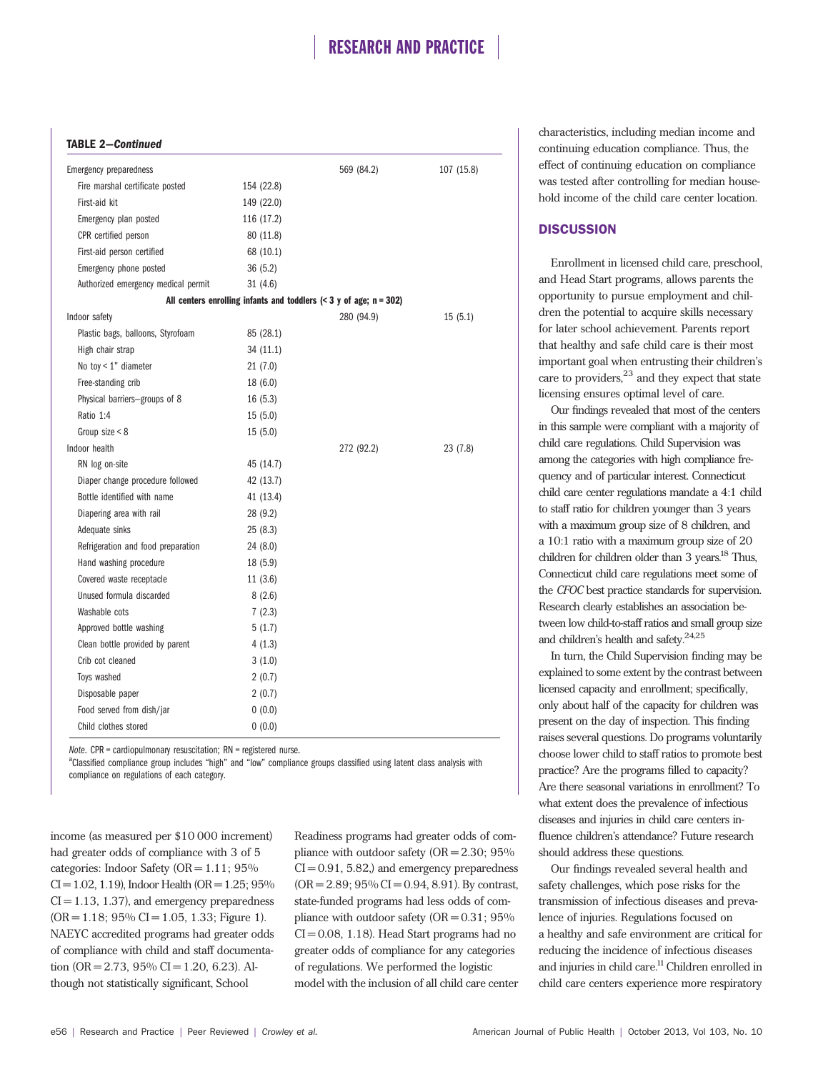### TABLE 2—Continued

| <b>Emergency preparedness</b>       |            | 569 (84.2)                                                              | 107 (15.8) |
|-------------------------------------|------------|-------------------------------------------------------------------------|------------|
| Fire marshal certificate posted     | 154 (22.8) |                                                                         |            |
| First-aid kit                       | 149 (22.0) |                                                                         |            |
| Emergency plan posted               | 116 (17.2) |                                                                         |            |
| CPR certified person                | 80 (11.8)  |                                                                         |            |
| First-aid person certified          | 68 (10.1)  |                                                                         |            |
| Emergency phone posted              | 36(5.2)    |                                                                         |            |
| Authorized emergency medical permit | 31 (4.6)   |                                                                         |            |
|                                     |            | All centers enrolling infants and toddlers $(< 3$ y of age; $n = 302$ ) |            |
| Indoor safety                       |            | 280 (94.9)                                                              | 15(5.1)    |
| Plastic bags, balloons, Styrofoam   | 85 (28.1)  |                                                                         |            |
| High chair strap                    | 34 (11.1)  |                                                                         |            |
| No toy $< 1$ " diameter             | 21(7.0)    |                                                                         |            |
| Free-standing crib                  | 18(6.0)    |                                                                         |            |
| Physical barriers-groups of 8       | 16(5.3)    |                                                                         |            |
| Ratio 1:4                           | 15(5.0)    |                                                                         |            |
| Group size $< 8$                    | 15(5.0)    |                                                                         |            |
| Indoor health                       |            | 272 (92.2)                                                              | 23 (7.8)   |
| RN log on-site                      | 45 (14.7)  |                                                                         |            |
| Diaper change procedure followed    | 42 (13.7)  |                                                                         |            |
| Bottle identified with name         | 41 (13.4)  |                                                                         |            |
| Diapering area with rail            | 28 (9.2)   |                                                                         |            |
| Adequate sinks                      | 25(8.3)    |                                                                         |            |
| Refrigeration and food preparation  | 24 (8.0)   |                                                                         |            |
| Hand washing procedure              | 18 (5.9)   |                                                                         |            |
| Covered waste receptacle            | 11(3.6)    |                                                                         |            |
| Unused formula discarded            | 8(2.6)     |                                                                         |            |
| Washable cots                       | 7(2.3)     |                                                                         |            |
| Approved bottle washing             | 5(1.7)     |                                                                         |            |
| Clean bottle provided by parent     | 4(1.3)     |                                                                         |            |
| Crib cot cleaned                    | 3(1.0)     |                                                                         |            |
| Toys washed                         | 2(0.7)     |                                                                         |            |
| Disposable paper                    | 2(0.7)     |                                                                         |            |
| Food served from dish/jar           | 0(0.0)     |                                                                         |            |
| Child clothes stored                | 0(0.0)     |                                                                         |            |

Note. CPR = cardiopulmonary resuscitation; RN = registered nurse.

<sup>a</sup>Classified compliance group includes "high" and "low" compliance groups classified using latent class analysis with compliance on regulations of each category.

income (as measured per \$10 000 increment) had greater odds of compliance with 3 of 5 categories: Indoor Safety ( $OR = 1.11$ ; 95%  $CI = 1.02, 1.19$ ), Indoor Health (OR = 1.25; 95%  $CI = 1.13, 1.37$ , and emergency preparedness  $(OR = 1.18; 95\% CI = 1.05, 1.33; Figure 1).$ NAEYC accredited programs had greater odds of compliance with child and staff documentation (OR = 2.73, 95% CI = 1.20, 6.23). Although not statistically significant, School

Readiness programs had greater odds of compliance with outdoor safety  $(OR = 2.30; 95\%)$  $CI = 0.91, 5.82$ , and emergency preparedness  $(OR = 2.89; 95\% CI = 0.94, 8.91)$ . By contrast, state-funded programs had less odds of compliance with outdoor safety  $(OR = 0.31; 95\%)$  $CI = 0.08$ , 1.18). Head Start programs had no greater odds of compliance for any categories of regulations. We performed the logistic model with the inclusion of all child care center characteristics, including median income and continuing education compliance. Thus, the effect of continuing education on compliance was tested after controlling for median household income of the child care center location.

### **DISCUSSION**

Enrollment in licensed child care, preschool, and Head Start programs, allows parents the opportunity to pursue employment and children the potential to acquire skills necessary for later school achievement. Parents report that healthy and safe child care is their most important goal when entrusting their children's care to providers,<sup>23</sup> and they expect that state licensing ensures optimal level of care.

Our findings revealed that most of the centers in this sample were compliant with a majority of child care regulations. Child Supervision was among the categories with high compliance frequency and of particular interest. Connecticut child care center regulations mandate a 4:1 child to staff ratio for children younger than 3 years with a maximum group size of 8 children, and a 10:1 ratio with a maximum group size of 20 children for children older than 3 years.<sup>18</sup> Thus, Connecticut child care regulations meet some of the *CFOC* best practice standards for supervision. Research clearly establishes an association between low child-to-staff ratios and small group size and children's health and safety.<sup>24,25</sup>

In turn, the Child Supervision finding may be explained to some extent by the contrast between licensed capacity and enrollment; specifically, only about half of the capacity for children was present on the day of inspection. This finding raises several questions. Do programs voluntarily choose lower child to staff ratios to promote best practice? Are the programs filled to capacity? Are there seasonal variations in enrollment? To what extent does the prevalence of infectious diseases and injuries in child care centers influence children's attendance? Future research should address these questions.

Our findings revealed several health and safety challenges, which pose risks for the transmission of infectious diseases and prevalence of injuries. Regulations focused on a healthy and safe environment are critical for reducing the incidence of infectious diseases and injuries in child care.<sup>11</sup> Children enrolled in child care centers experience more respiratory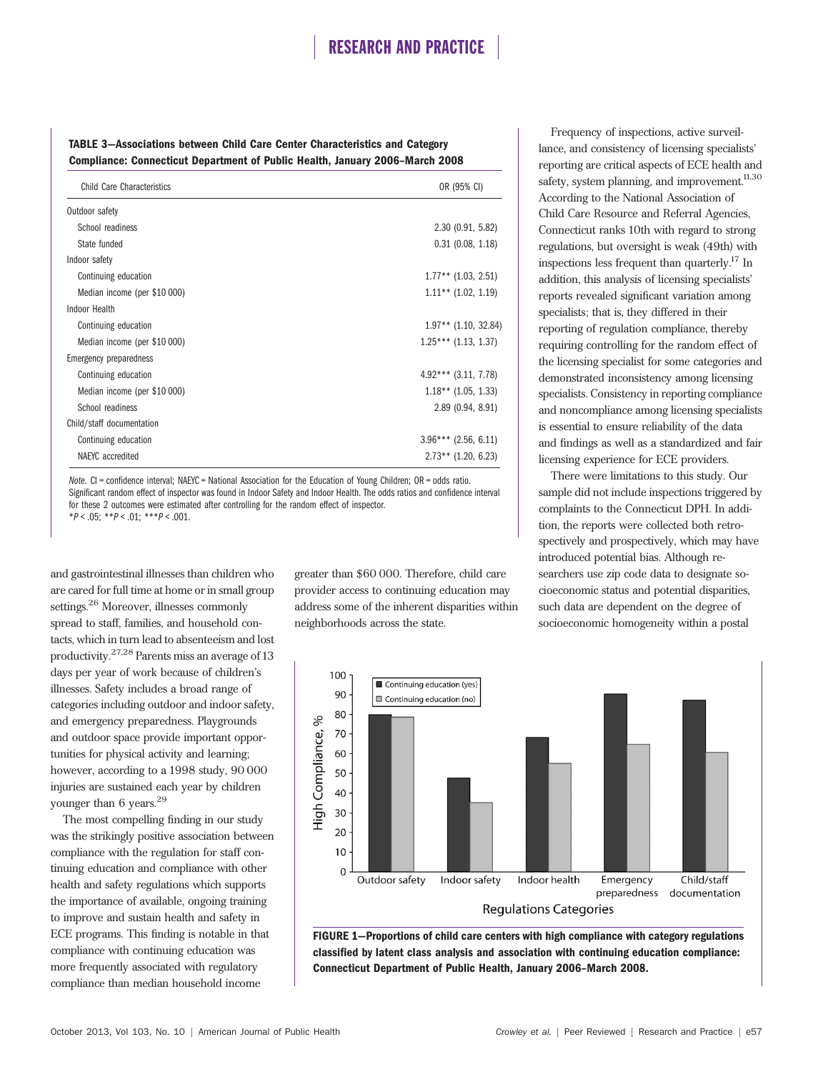### TABLE 3—Associations between Child Care Center Characteristics and Category Compliance: Connecticut Department of Public Health, January 2006–March 2008

| Child Care Characteristics   | OR (95% CI)            |
|------------------------------|------------------------|
| Outdoor safety               |                        |
| School readiness             | 2.30(0.91, 5.82)       |
| State funded                 | $0.31$ $(0.08, 1.18)$  |
| Indoor safety                |                        |
| Continuing education         | $1.77**$ (1.03, 2.51)  |
| Median income (per \$10 000) | $1.11***$ (1.02, 1.19) |
| Indoor Health                |                        |
| Continuing education         | $1.97**$ (1.10, 32.84) |
| Median income (per \$10 000) | $1.25***$ (1.13, 1.37) |
| Emergency preparedness       |                        |
| Continuing education         | $4.92***$ (3.11, 7.78) |
| Median income (per \$10 000) | $1.18**$ (1.05, 1.33)  |
| School readiness             | 2.89 (0.94, 8.91)      |
| Child/staff documentation    |                        |
| Continuing education         | $3.96***$ (2.56, 6.11) |
| NAEYC accredited             | $2.73**$ (1.20, 6.23)  |

Note. CI = confidence interval; NAEYC = National Association for the Education of Young Children; OR = odds ratio. Significant random effect of inspector was found in Indoor Safety and Indoor Health. The odds ratios and confidence interval for these 2 outcomes were estimated after controlling for the random effect of inspector.  $*P < .05;$   $*P < .01;$   $**P < .001$ .

and gastrointestinal illnesses than children who are cared for full time at home or in small group settings.<sup>26</sup> Moreover, illnesses commonly spread to staff, families, and household contacts, which in turn lead to absenteeism and lost productivity.27,28 Parents miss an average of 13 days per year of work because of children's illnesses. Safety includes a broad range of categories including outdoor and indoor safety, and emergency preparedness. Playgrounds and outdoor space provide important opportunities for physical activity and learning; however, according to a 1998 study, 90 000 injuries are sustained each year by children younger than 6 years.<sup>29</sup>

The most compelling finding in our study was the strikingly positive association between compliance with the regulation for staff continuing education and compliance with other health and safety regulations which supports the importance of available, ongoing training to improve and sustain health and safety in ECE programs. This finding is notable in that compliance with continuing education was more frequently associated with regulatory compliance than median household income

greater than \$60 000. Therefore, child care provider access to continuing education may address some of the inherent disparities within neighborhoods across the state.

Frequency of inspections, active surveillance, and consistency of licensing specialists' reporting are critical aspects of ECE health and safety, system planning, and improvement.<sup>11,30</sup> According to the National Association of Child Care Resource and Referral Agencies, Connecticut ranks 10th with regard to strong regulations, but oversight is weak (49th) with inspections less frequent than quarterly.<sup>17</sup> In addition, this analysis of licensing specialists' reports revealed significant variation among specialists; that is, they differed in their reporting of regulation compliance, thereby requiring controlling for the random effect of the licensing specialist for some categories and demonstrated inconsistency among licensing specialists. Consistency in reporting compliance and noncompliance among licensing specialists is essential to ensure reliability of the data and findings as well as a standardized and fair licensing experience for ECE providers.

There were limitations to this study. Our sample did not include inspections triggered by complaints to the Connecticut DPH. In addition, the reports were collected both retrospectively and prospectively, which may have introduced potential bias. Although researchers use zip code data to designate socioeconomic status and potential disparities, such data are dependent on the degree of socioeconomic homogeneity within a postal



FIGURE 1—Proportions of child care centers with high compliance with category regulations classified by latent class analysis and association with continuing education compliance: Connecticut Department of Public Health, January 2006–March 2008.